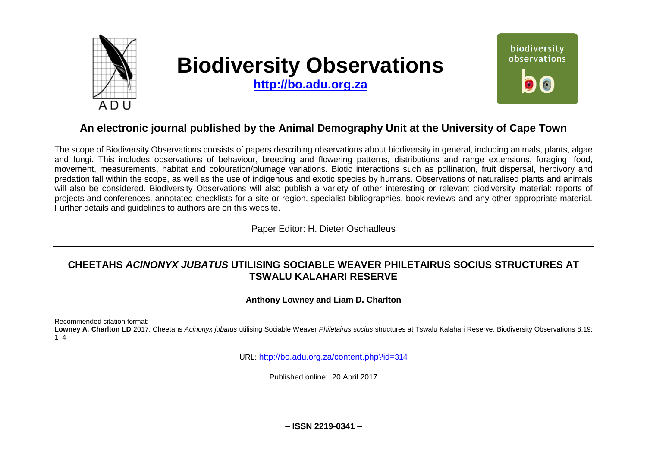

# **Biodiversity Observations**

**[http://bo.adu.org.za](http://bo.adu.org.za/)**



# **An electronic journal published by the Animal Demography Unit at the University of Cape Town**

The scope of Biodiversity Observations consists of papers describing observations about biodiversity in general, including animals, plants, algae and fungi. This includes observations of behaviour, breeding and flowering patterns, distributions and range extensions, foraging, food, movement, measurements, habitat and colouration/plumage variations. Biotic interactions such as pollination, fruit dispersal, herbivory and predation fall within the scope, as well as the use of indigenous and exotic species by humans. Observations of naturalised plants and animals will also be considered. Biodiversity Observations will also publish a variety of other interesting or relevant biodiversity material: reports of projects and conferences, annotated checklists for a site or region, specialist bibliographies, book reviews and any other appropriate material. Further details and guidelines to authors are on this website.

Paper Editor: H. Dieter Oschadleus

## **CHEETAHS** *ACINONYX JUBATUS* **UTILISING SOCIABLE WEAVER PHILETAIRUS SOCIUS STRUCTURES AT TSWALU KALAHARI RESERVE**

**Anthony Lowney and Liam D. Charlton**

Recommended citation format:

**Lowney A, Charlton LD** 2017. Cheetahs *Acinonyx jubatus* utilising Sociable Weaver *Philetairus socius* structures at Tswalu Kalahari Reserve. Biodiversity Observations 8.19:  $1 - 4$ 

URL: [http://bo.adu.org.za/content.php?id=](http://bo.adu.org.za/content.php?id=314)314

Published online: 20 April 2017

**– ISSN 2219-0341 –**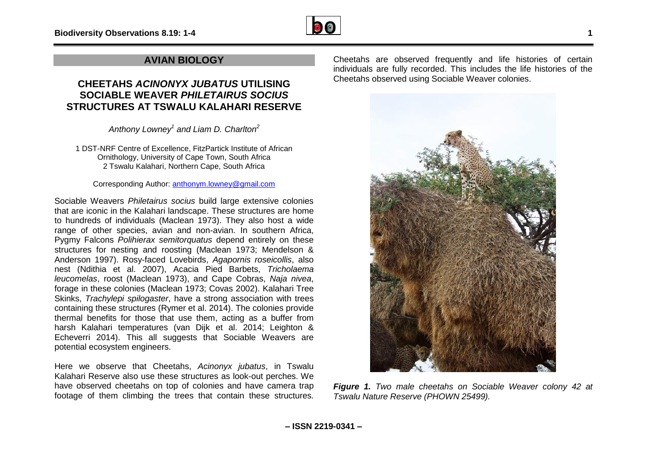

## **AVIAN BIOLOGY**

## **CHEETAHS** *ACINONYX JUBATUS* **UTILISING SOCIABLE WEAVER** *PHILETAIRUS SOCIUS* **STRUCTURES AT TSWALU KALAHARI RESERVE**

*Anthony Lowney<sup>1</sup> and Liam D. Charlton<sup>2</sup>*

1 DST-NRF Centre of Excellence, FitzPartick Institute of African Ornithology, University of Cape Town, South Africa 2 Tswalu Kalahari, Northern Cape, South Africa

Corresponding Author: [anthonym.lowney@gmail.com](mailto:anthonym.lowney@gmail.com)

Sociable Weavers *Philetairus socius* build large extensive colonies that are iconic in the Kalahari landscape. These structures are home to hundreds of individuals (Maclean 1973). They also host a wide range of other species, avian and non-avian. In southern Africa, Pygmy Falcons *Polihierax semitorquatus* depend entirely on these structures for nesting and roosting (Maclean 1973; Mendelson & Anderson 1997). Rosy-faced Lovebirds, *Agapornis roseicollis*, also nest (Ndithia et al. 2007), Acacia Pied Barbets, *Tricholaema leucomelas*, roost (Maclean 1973), and Cape Cobras, *Naja nivea*, forage in these colonies (Maclean 1973; Covas 2002). Kalahari Tree Skinks, *Trachylepi spilogaster*, have a strong association with trees containing these structures (Rymer et al. 2014). The colonies provide thermal benefits for those that use them, acting as a buffer from harsh Kalahari temperatures (van Dijk et al. 2014; Leighton & Echeverri 2014). This all suggests that Sociable Weavers are potential ecosystem engineers.

Here we observe that Cheetahs, *Acinonyx jubatus*, in Tswalu Kalahari Reserve also use these structures as look-out perches. We have observed cheetahs on top of colonies and have camera trap footage of them climbing the trees that contain these structures.

Cheetahs are observed frequently and life histories of certain individuals are fully recorded. This includes the life histories of the Cheetahs observed using Sociable Weaver colonies.



*Figure 1. Two male cheetahs on Sociable Weaver colony 42 at Tswalu Nature Reserve (PHOWN 25499).*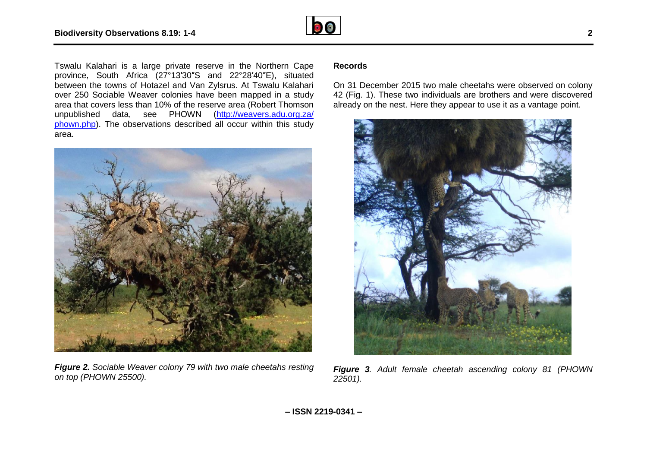

Tswalu Kalahari is a large private reserve in the Northern Cape province, South Africa (27°13′30″S and 22°28′40″E), situated between the towns of Hotazel and Van Zylsrus. At Tswalu Kalahari over 250 Sociable Weaver colonies have been mapped in a study area that covers less than 10% of the reserve area (Robert Thomson unpublished data, see PHOWN [\(http://weavers.adu.org.za/](http://weavers.adu.org.za/phown.php) [phown.php\)](http://weavers.adu.org.za/phown.php). The observations described all occur within this study area.



*Figure 2. Sociable Weaver colony 79 with two male cheetahs resting on top (PHOWN 25500).*

### **Records**

On 31 December 2015 two male cheetahs were observed on colony 42 (Fig. 1). These two individuals are brothers and were discovered already on the nest. Here they appear to use it as a vantage point.



*Figure 3. Adult female cheetah ascending colony 81 (PHOWN 22501).*

**– ISSN 2219-0341 –**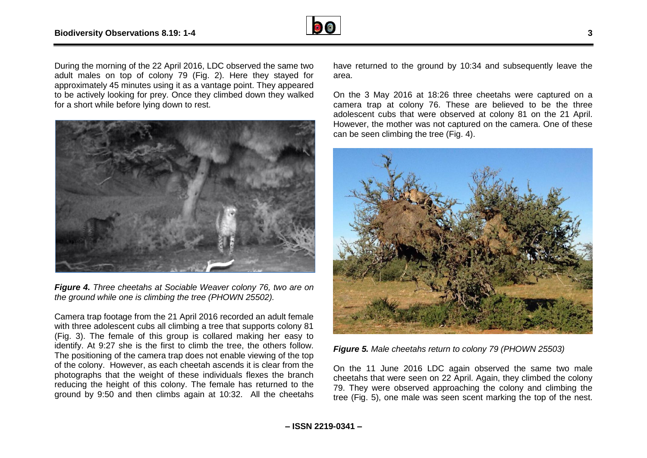

During the morning of the 22 April 2016, LDC observed the same two adult males on top of colony 79 (Fig. 2). Here they stayed for approximately 45 minutes using it as a vantage point. They appeared to be actively looking for prey. Once they climbed down they walked for a short while before lying down to rest.



*Figure 4. Three cheetahs at Sociable Weaver colony 76, two are on the ground while one is climbing the tree (PHOWN 25502).*

Camera trap footage from the 21 April 2016 recorded an adult female with three adolescent cubs all climbing a tree that supports colony 81 (Fig. 3). The female of this group is collared making her easy to identify. At 9:27 she is the first to climb the tree, the others follow. The positioning of the camera trap does not enable viewing of the top of the colony. However, as each cheetah ascends it is clear from the photographs that the weight of these individuals flexes the branch reducing the height of this colony. The female has returned to the ground by 9:50 and then climbs again at 10:32. All the cheetahs

have returned to the ground by 10:34 and subsequently leave the area.

On the 3 May 2016 at 18:26 three cheetahs were captured on a camera trap at colony 76. These are believed to be the three adolescent cubs that were observed at colony 81 on the 21 April. However, the mother was not captured on the camera. One of these can be seen climbing the tree (Fig. 4).



*Figure 5. Male cheetahs return to colony 79 (PHOWN 25503)*

On the 11 June 2016 LDC again observed the same two male cheetahs that were seen on 22 April. Again, they climbed the colony 79. They were observed approaching the colony and climbing the tree (Fig. 5), one male was seen scent marking the top of the nest.